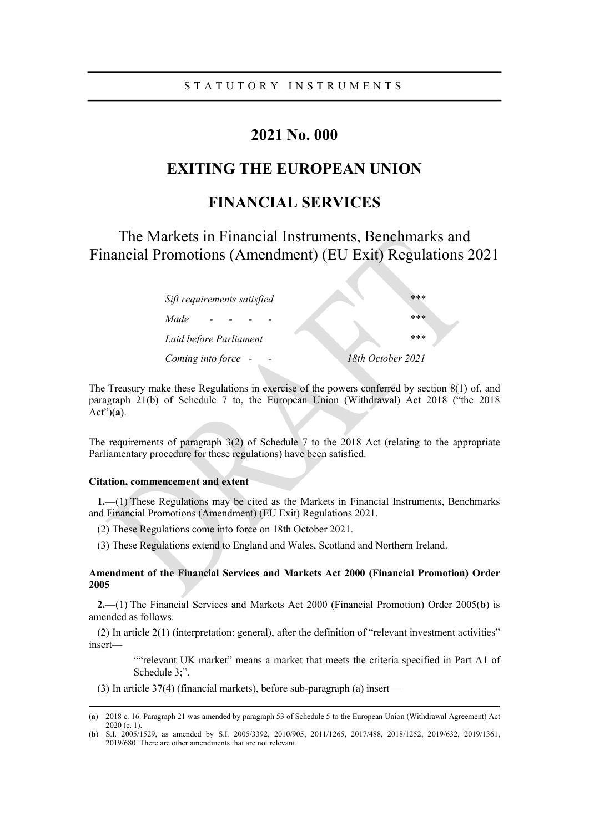## 2021 No. 000

# EXITING THE EUROPEAN UNION

# FINANCIAL SERVICES

The Markets in Financial Instruments, Benchmarks and Financial Promotions (Amendment) (EU Exit) Regulations 2021

| Sift requirements satisfied | $***$             |  |
|-----------------------------|-------------------|--|
| Made                        | ***               |  |
| Laid before Parliament      | $***$             |  |
| Coming into force -         | 18th October 2021 |  |

The Treasury make these Regulations in exercise of the powers conferred by section 8(1) of, and paragraph 21(b) of Schedule 7 to, the European Union (Withdrawal) Act 2018 ("the 2018  $Act")(\overline{a})$ .

The requirements of paragraph 3(2) of Schedule 7 to the 2018 Act (relating to the appropriate Parliamentary procedure for these regulations) have been satisfied.

## Citation, commencement and extent

1.—(1) These Regulations may be cited as the Markets in Financial Instruments, Benchmarks and Financial Promotions (Amendment) (EU Exit) Regulations 2021.

- (2) These Regulations come into force on 18th October 2021.
- (3) These Regulations extend to England and Wales, Scotland and Northern Ireland.

## Amendment of the Financial Services and Markets Act 2000 (Financial Promotion) Order 2005

2.—(1) The Financial Services and Markets Act 2000 (Financial Promotion) Order 2005(b) is amended as follows.

(2) In article 2(1) (interpretation: general), after the definition of "relevant investment activities" insert—

> ""relevant UK market" means a market that meets the criteria specified in Part A1 of Schedule 3;".

(3) In article 37(4) (financial markets), before sub-paragraph (a) insert—

<sup>(</sup>a) 2018 c. 16. Paragraph 21 was amended by paragraph 53 of Schedule 5 to the European Union (Withdrawal Agreement) Act 2020 (c. 1).

<sup>(</sup>b) S.I. 2005/1529, as amended by S.I. 2005/3392, 2010/905, 2011/1265, 2017/488, 2018/1252, 2019/632, 2019/1361, 2019/680. There are other amendments that are not relevant.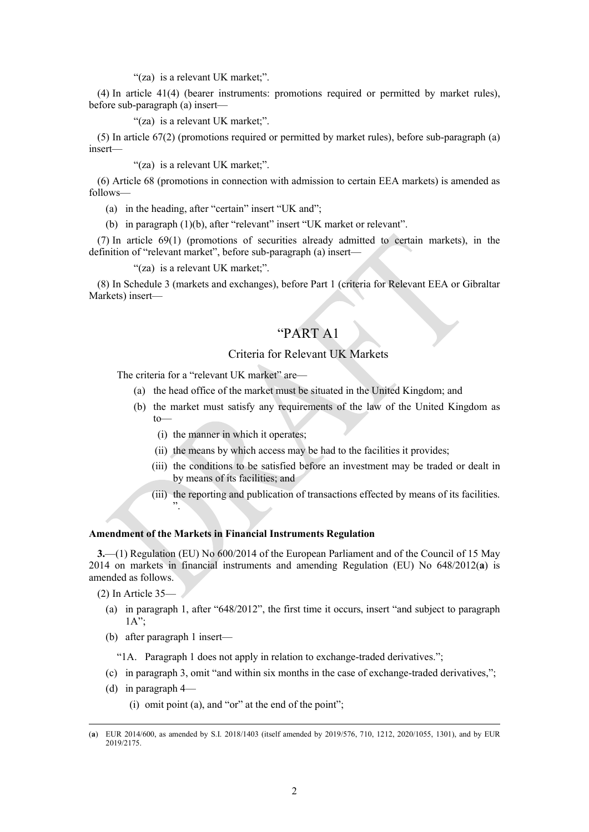### "(za) is a relevant UK market;".

(4) In article 41(4) (bearer instruments: promotions required or permitted by market rules), before sub-paragraph (a) insert—

"(za) is a relevant UK market;".

(5) In article 67(2) (promotions required or permitted by market rules), before sub-paragraph (a) insert—

"(za) is a relevant UK market;".

(6) Article 68 (promotions in connection with admission to certain EEA markets) is amended as follows—

(a) in the heading, after "certain" insert "UK and";

(b) in paragraph (1)(b), after "relevant" insert "UK market or relevant".

(7) In article 69(1) (promotions of securities already admitted to certain markets), in the definition of "relevant market", before sub-paragraph (a) insert—

"(za) is a relevant UK market;".

(8) In Schedule 3 (markets and exchanges), before Part 1 (criteria for Relevant EEA or Gibraltar Markets) insert—

## "PART A1

## Criteria for Relevant UK Markets

The criteria for a "relevant UK market" are—

- (a) the head office of the market must be situated in the United Kingdom; and
- (b) the market must satisfy any requirements of the law of the United Kingdom as to—
	- (i) the manner in which it operates;
	- (ii) the means by which access may be had to the facilities it provides;
	- (iii) the conditions to be satisfied before an investment may be traded or dealt in by means of its facilities; and
	- (iii) the reporting and publication of transactions effected by means of its facilities. ".

## Amendment of the Markets in Financial Instruments Regulation

3.—(1) Regulation (EU) No 600/2014 of the European Parliament and of the Council of 15 May 2014 on markets in financial instruments and amending Regulation (EU) No 648/2012(a) is amended as follows.

(2) In Article 35—

- (a) in paragraph 1, after "648/2012", the first time it occurs, insert "and subject to paragraph 1A";
- (b) after paragraph 1 insert—

"1A. Paragraph 1 does not apply in relation to exchange-traded derivatives.";

- (c) in paragraph 3, omit "and within six months in the case of exchange-traded derivatives,";
- (d) in paragraph 4—

(i) omit point (a), and "or" at the end of the point";

<sup>(</sup>a) EUR 2014/600, as amended by S.I. 2018/1403 (itself amended by 2019/576, 710, 1212, 2020/1055, 1301), and by EUR 2019/2175.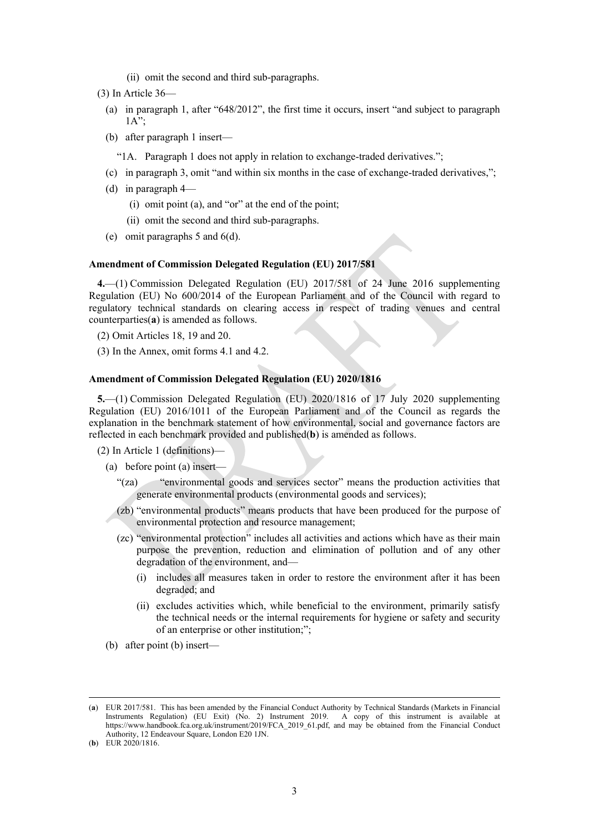- (ii) omit the second and third sub-paragraphs.
- (3) In Article 36—
	- (a) in paragraph 1, after "648/2012", the first time it occurs, insert "and subject to paragraph 1A";
	- (b) after paragraph 1 insert—
		- "1A. Paragraph 1 does not apply in relation to exchange-traded derivatives.";
	- (c) in paragraph 3, omit "and within six months in the case of exchange-traded derivatives,";
	- (d) in paragraph 4—
		- (i) omit point (a), and "or" at the end of the point;
		- (ii) omit the second and third sub-paragraphs.
	- (e) omit paragraphs 5 and 6(d).

## Amendment of Commission Delegated Regulation (EU) 2017/581

4.—(1) Commission Delegated Regulation (EU) 2017/581 of 24 June 2016 supplementing Regulation (EU) No 600/2014 of the European Parliament and of the Council with regard to regulatory technical standards on clearing access in respect of trading venues and central counterparties(a) is amended as follows.

- (2) Omit Articles 18, 19 and 20.
- (3) In the Annex, omit forms 4.1 and 4.2.

## Amendment of Commission Delegated Regulation (EU) 2020/1816

5.—(1) Commission Delegated Regulation (EU) 2020/1816 of 17 July 2020 supplementing Regulation (EU) 2016/1011 of the European Parliament and of the Council as regards the explanation in the benchmark statement of how environmental, social and governance factors are reflected in each benchmark provided and published(b) is amended as follows.

- (2) In Article 1 (definitions)—
	- (a) before point (a) insert—
		- "(za) "environmental goods and services sector" means the production activities that generate environmental products (environmental goods and services);
		- (zb) "environmental products" means products that have been produced for the purpose of environmental protection and resource management;
		- (zc) "environmental protection" includes all activities and actions which have as their main purpose the prevention, reduction and elimination of pollution and of any other degradation of the environment, and—
			- (i) includes all measures taken in order to restore the environment after it has been degraded; and
			- (ii) excludes activities which, while beneficial to the environment, primarily satisfy the technical needs or the internal requirements for hygiene or safety and security of an enterprise or other institution;";
	- (b) after point (b) insert—

<sup>(</sup>a) EUR 2017/581. This has been amended by the Financial Conduct Authority by Technical Standards (Markets in Financial Instruments Regulation) (EU Exit) (No. 2) Instrument 2019. A copy of this instrument is available at https://www.handbook.fca.org.uk/instrument/2019/FCA\_2019\_61.pdf, and may be obtained from the Financial Conduct Authority, 12 Endeavour Square, London E20 1JN.

<sup>(</sup>**b**) EUR  $2020/1816$ .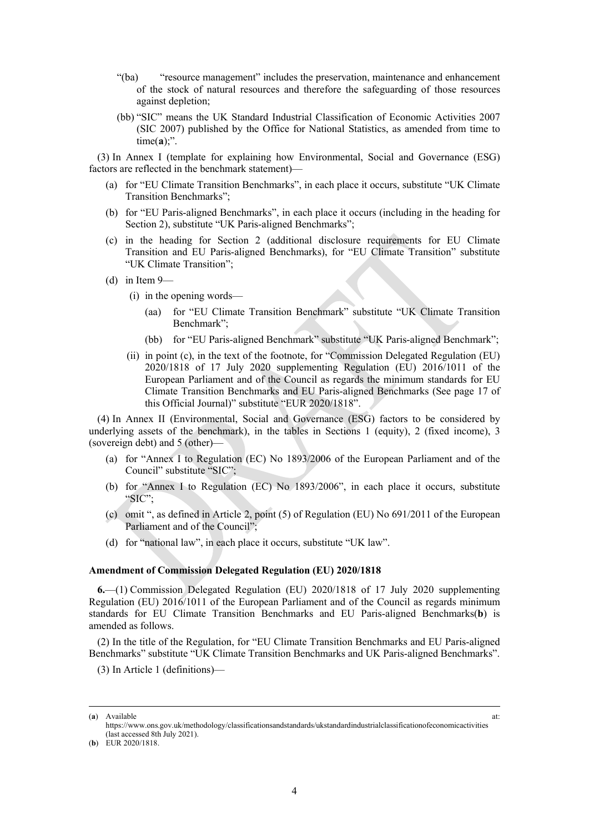- "(ba) "resource management" includes the preservation, maintenance and enhancement of the stock of natural resources and therefore the safeguarding of those resources against depletion;
- (bb) "SIC" means the UK Standard Industrial Classification of Economic Activities 2007 (SIC 2007) published by the Office for National Statistics, as amended from time to  $time(a)$ ;".

(3) In Annex I (template for explaining how Environmental, Social and Governance (ESG) factors are reflected in the benchmark statement)—

- (a) for "EU Climate Transition Benchmarks", in each place it occurs, substitute "UK Climate Transition Benchmarks";
- (b) for "EU Paris-aligned Benchmarks", in each place it occurs (including in the heading for Section 2), substitute "UK Paris-aligned Benchmarks";
- (c) in the heading for Section 2 (additional disclosure requirements for EU Climate Transition and EU Paris-aligned Benchmarks), for "EU Climate Transition" substitute "UK Climate Transition";
- (d) in Item 9—
	- (i) in the opening words—
		- (aa) for "EU Climate Transition Benchmark" substitute "UK Climate Transition Benchmark";
		- (bb) for "EU Paris-aligned Benchmark" substitute "UK Paris-aligned Benchmark";
	- (ii) in point (c), in the text of the footnote, for "Commission Delegated Regulation (EU) 2020/1818 of 17 July 2020 supplementing Regulation (EU) 2016/1011 of the European Parliament and of the Council as regards the minimum standards for EU Climate Transition Benchmarks and EU Paris-aligned Benchmarks (See page 17 of this Official Journal)" substitute "EUR 2020/1818".

(4) In Annex II (Environmental, Social and Governance (ESG) factors to be considered by underlying assets of the benchmark), in the tables in Sections 1 (equity), 2 (fixed income), 3 (sovereign debt) and 5 (other)—

- (a) for "Annex I to Regulation (EC) No 1893/2006 of the European Parliament and of the Council" substitute "SIC";
- (b) for "Annex I to Regulation (EC) No 1893/2006", in each place it occurs, substitute "SIC";
- (c) omit ", as defined in Article 2, point  $(5)$  of Regulation (EU) No  $691/2011$  of the European Parliament and of the Council";
- (d) for "national law", in each place it occurs, substitute "UK law".

### Amendment of Commission Delegated Regulation (EU) 2020/1818

6.—(1) Commission Delegated Regulation (EU) 2020/1818 of 17 July 2020 supplementing Regulation (EU) 2016/1011 of the European Parliament and of the Council as regards minimum standards for EU Climate Transition Benchmarks and EU Paris-aligned Benchmarks(b) is amended as follows.

(2) In the title of the Regulation, for "EU Climate Transition Benchmarks and EU Paris-aligned Benchmarks" substitute "UK Climate Transition Benchmarks and UK Paris-aligned Benchmarks".

(3) In Article 1 (definitions)—

<sup>(</sup>a) Available at:

https://www.ons.gov.uk/methodology/classificationsandstandards/ukstandardindustrialclassificationofeconomicactivities (last accessed 8th July 2021).

<sup>(</sup>b) EUR 2020/1818.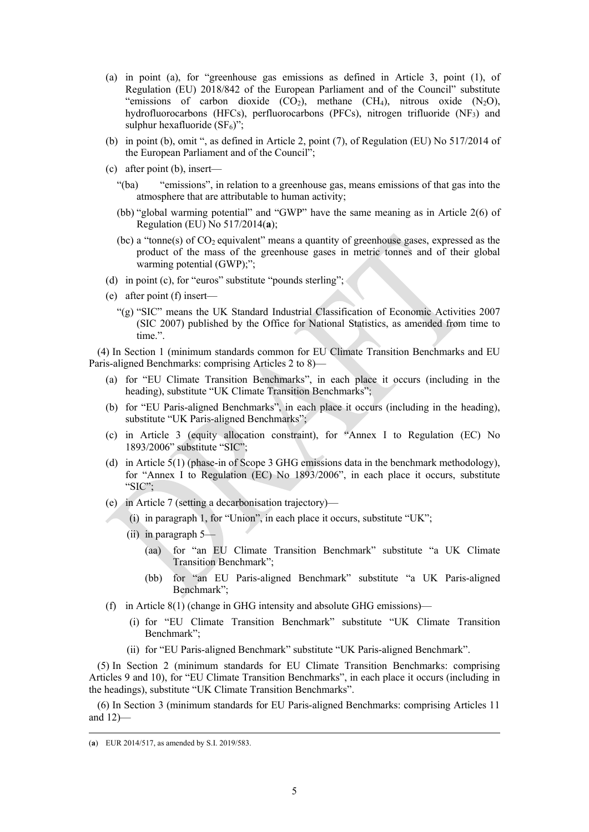- (a) in point (a), for "greenhouse gas emissions as defined in Article 3, point (1), of Regulation (EU) 2018/842 of the European Parliament and of the Council" substitute "emissions of carbon dioxide  $(CO_2)$ , methane  $(CH_4)$ , nitrous oxide  $(N_2O)$ , hydrofluorocarbons (HFCs), perfluorocarbons (PFCs), nitrogen trifluoride (NF3) and sulphur hexafluoride  $(SF_6)$ ";
- (b) in point (b), omit ", as defined in Article 2, point (7), of Regulation (EU) No 517/2014 of the European Parliament and of the Council";
- (c) after point (b), insert—
	- "(ba) "emissions", in relation to a greenhouse gas, means emissions of that gas into the atmosphere that are attributable to human activity;
	- (bb) "global warming potential" and "GWP" have the same meaning as in Article 2(6) of Regulation (EU) No  $517/2014(a)$ ;
	- (bc) a "tonne(s) of CO2 equivalent" means a quantity of greenhouse gases, expressed as the product of the mass of the greenhouse gases in metric tonnes and of their global warming potential (GWP);";
- (d) in point (c), for "euros" substitute "pounds sterling";
- (e) after point (f) insert—
	- "(g) "SIC" means the UK Standard Industrial Classification of Economic Activities 2007 (SIC 2007) published by the Office for National Statistics, as amended from time to time.".

(4) In Section 1 (minimum standards common for EU Climate Transition Benchmarks and EU Paris-aligned Benchmarks: comprising Articles 2 to 8)—

- (a) for "EU Climate Transition Benchmarks", in each place it occurs (including in the heading), substitute "UK Climate Transition Benchmarks";
- (b) for "EU Paris-aligned Benchmarks", in each place it occurs (including in the heading), substitute "UK Paris-aligned Benchmarks";
- (c) in Article 3 (equity allocation constraint), for "Annex I to Regulation (EC) No 1893/2006" substitute "SIC";
- (d) in Article 5(1) (phase-in of Scope 3 GHG emissions data in the benchmark methodology), for "Annex I to Regulation (EC) No 1893/2006", in each place it occurs, substitute "SIC";
- (e) in Article 7 (setting a decarbonisation trajectory)—
	- (i) in paragraph 1, for "Union", in each place it occurs, substitute "UK";
		- (ii) in paragraph 5—
			- (aa) for "an EU Climate Transition Benchmark" substitute "a UK Climate Transition Benchmark";
			- (bb) for "an EU Paris-aligned Benchmark" substitute "a UK Paris-aligned Benchmark";
- (f) in Article  $8(1)$  (change in GHG intensity and absolute GHG emissions)—
	- (i) for "EU Climate Transition Benchmark" substitute "UK Climate Transition Benchmark";
	- (ii) for "EU Paris-aligned Benchmark" substitute "UK Paris-aligned Benchmark".

(5) In Section 2 (minimum standards for EU Climate Transition Benchmarks: comprising Articles 9 and 10), for "EU Climate Transition Benchmarks", in each place it occurs (including in the headings), substitute "UK Climate Transition Benchmarks".

(6) In Section 3 (minimum standards for EU Paris-aligned Benchmarks: comprising Articles 11 and 12)—

<sup>(</sup>a) EUR 2014/517, as amended by S.I. 2019/583.